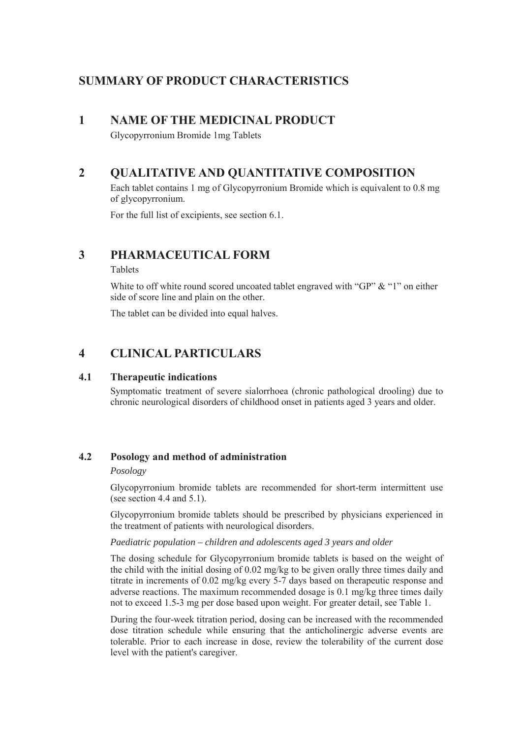# **SUMMARY OF PRODUCT CHARACTERISTICS**

## **1 NAME OF THE MEDICINAL PRODUCT**

Glycopyrronium Bromide 1mg Tablets

# **2 QUALITATIVE AND QUANTITATIVE COMPOSITION**

Each tablet contains 1 mg of Glycopyrronium Bromide which is equivalent to 0.8 mg of glycopyrronium.

For the full list of excipients, see section 6.1.

## **3 PHARMACEUTICAL FORM**

Tablets

White to off white round scored uncoated tablet engraved with "GP" & "1" on either side of score line and plain on the other.

The tablet can be divided into equal halves.

# **4 CLINICAL PARTICULARS**

## **4.1 Therapeutic indications**

Symptomatic treatment of severe sialorrhoea (chronic pathological drooling) due to chronic neurological disorders of childhood onset in patients aged 3 years and older.

## **4.2 Posology and method of administration**

### *Posology*

Glycopyrronium bromide tablets are recommended for short-term intermittent use (see section 4.4 and 5.1).

Glycopyrronium bromide tablets should be prescribed by physicians experienced in the treatment of patients with neurological disorders.

### *Paediatric population – children and adolescents aged 3 years and older*

The dosing schedule for Glycopyrronium bromide tablets is based on the weight of the child with the initial dosing of 0.02 mg/kg to be given orally three times daily and titrate in increments of 0.02 mg/kg every 5-7 days based on therapeutic response and adverse reactions. The maximum recommended dosage is  $0.1 \text{ mg/kg}$  three times daily not to exceed 1.5-3 mg per dose based upon weight. For greater detail, see Table 1.

During the four-week titration period, dosing can be increased with the recommended dose titration schedule while ensuring that the anticholinergic adverse events are tolerable. Prior to each increase in dose, review the tolerability of the current dose level with the patient's caregiver.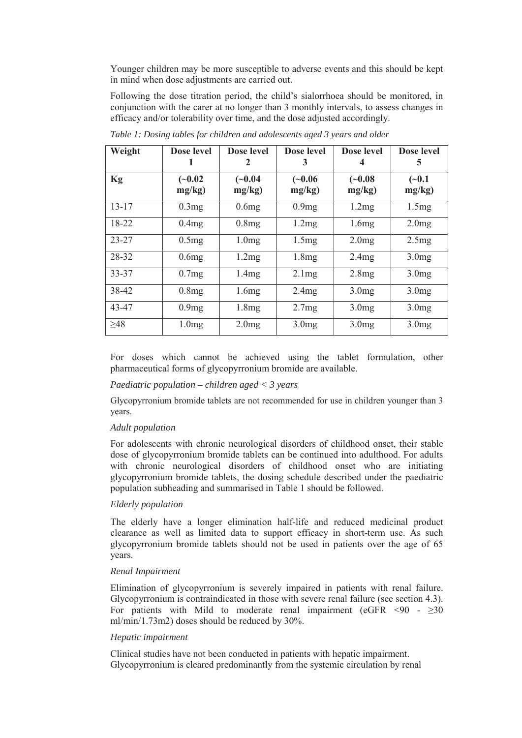Younger children may be more susceptible to adverse events and this should be kept in mind when dose adjustments are carried out.

Following the dose titration period, the child's sialorrhoea should be monitored, in conjunction with the carer at no longer than 3 monthly intervals, to assess changes in efficacy and/or tolerability over time, and the dose adjusted accordingly.

| Weight    | Dose level          | Dose level<br>$\mathbf{z}$ | Dose level<br>3     | Dose level          | Dose level<br>C.   |
|-----------|---------------------|----------------------------|---------------------|---------------------|--------------------|
| Kg        | $(-0.02)$<br>mg/kg) | $(-0.04)$<br>mg/kg)        | $(-0.06)$<br>mg/kg) | $(-0.08)$<br>mg/kg) | $(-0.1)$<br>mg/kg) |
| $13 - 17$ | 0.3mg               | 0.6mg                      | 0.9mg               | 1.2mg               | 1.5mg              |
| 18-22     | 0.4mg               | 0.8mg                      | 1.2mg               | 1.6mg               | 2.0mg              |
| $23 - 27$ | 0.5mg               | 1.0 <sub>mg</sub>          | 1.5mg               | 2.0mg               | 2.5mg              |
| 28-32     | 0.6mg               | 1.2mg                      | 1.8mg               | 2.4mg               | 3.0 <sub>mg</sub>  |
| 33-37     | 0.7mg               | 1.4mg                      | 2.1mg               | 2.8mg               | 3.0 <sub>mg</sub>  |
| 38-42     | 0.8mg               | 1.6mg                      | 2.4mg               | 3.0 <sub>mg</sub>   | 3.0 <sub>mg</sub>  |
| 43-47     | 0.9mg               | 1.8mg                      | 2.7mg               | 3.0 <sub>mg</sub>   | 3.0 <sub>mg</sub>  |
| $\geq 48$ | 1.0 <sub>mg</sub>   | 2.0mg                      | 3.0 <sub>mg</sub>   | 3.0 <sub>mg</sub>   | 3.0 <sub>mg</sub>  |

*Table 1: Dosing tables for children and adolescents aged 3 years and older* 

For doses which cannot be achieved using the tablet formulation, other pharmaceutical forms of glycopyrronium bromide are available.

#### *Paediatric population – children aged < 3 years*

Glycopyrronium bromide tablets are not recommended for use in children younger than 3 years.

#### *Adult population*

For adolescents with chronic neurological disorders of childhood onset, their stable dose of glycopyrronium bromide tablets can be continued into adulthood. For adults with chronic neurological disorders of childhood onset who are initiating glycopyrronium bromide tablets, the dosing schedule described under the paediatric population subheading and summarised in Table 1 should be followed.

#### *Elderly population*

The elderly have a longer elimination half-life and reduced medicinal product clearance as well as limited data to support efficacy in short-term use. As such glycopyrronium bromide tablets should not be used in patients over the age of 65 years.

#### *Renal Impairment*

Elimination of glycopyrronium is severely impaired in patients with renal failure. Glycopyrronium is contraindicated in those with severe renal failure (see section 4.3). For patients with Mild to moderate renal impairment (eGFR  $\leq 90$  -  $\geq 30$ ml/min/1.73m2) doses should be reduced by 30%.

#### *Hepatic impairment*

Clinical studies have not been conducted in patients with hepatic impairment. Glycopyrronium is cleared predominantly from the systemic circulation by renal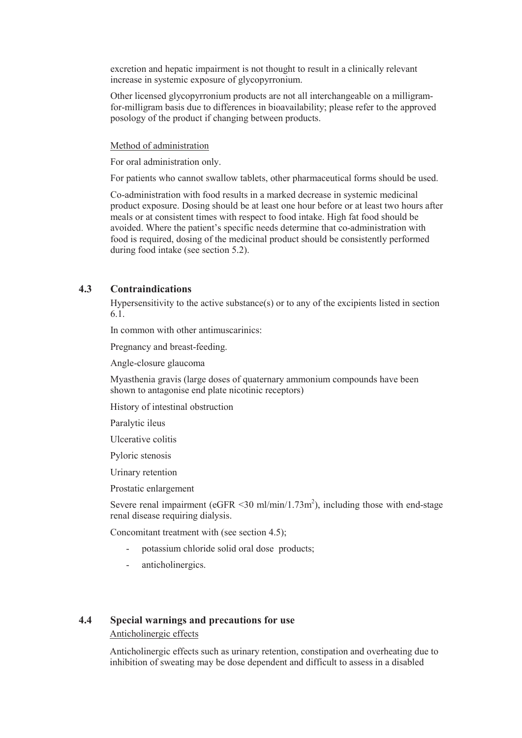excretion and hepatic impairment is not thought to result in a clinically relevant increase in systemic exposure of glycopyrronium.

Other licensed glycopyrronium products are not all interchangeable on a milligramfor-milligram basis due to differences in bioavailability; please refer to the approved posology of the product if changing between products.

#### Method of administration

For oral administration only.

For patients who cannot swallow tablets, other pharmaceutical forms should be used.

Co-administration with food results in a marked decrease in systemic medicinal product exposure. Dosing should be at least one hour before or at least two hours after meals or at consistent times with respect to food intake. High fat food should be avoided. Where the patient's specific needs determine that co-administration with food is required, dosing of the medicinal product should be consistently performed during food intake (see section 5.2).

## **4.3 Contraindications**

Hypersensitivity to the active substance(s) or to any of the excipients listed in section 6.1.

In common with other antimuscarinics:

Pregnancy and breast-feeding.

Angle-closure glaucoma

Myasthenia gravis (large doses of quaternary ammonium compounds have been shown to antagonise end plate nicotinic receptors)

History of intestinal obstruction

Paralytic ileus

Ulcerative colitis

Pyloric stenosis

Urinary retention

Prostatic enlargement

Severe renal impairment (eGFR  $\leq$ 30 ml/min/1.73m<sup>2</sup>), including those with end-stage renal disease requiring dialysis.

Concomitant treatment with (see section 4.5);

- potassium chloride solid oral dose products;
- anticholinergics.

## **4.4 Special warnings and precautions for use**

Anticholinergic effects

Anticholinergic effects such as urinary retention, constipation and overheating due to inhibition of sweating may be dose dependent and difficult to assess in a disabled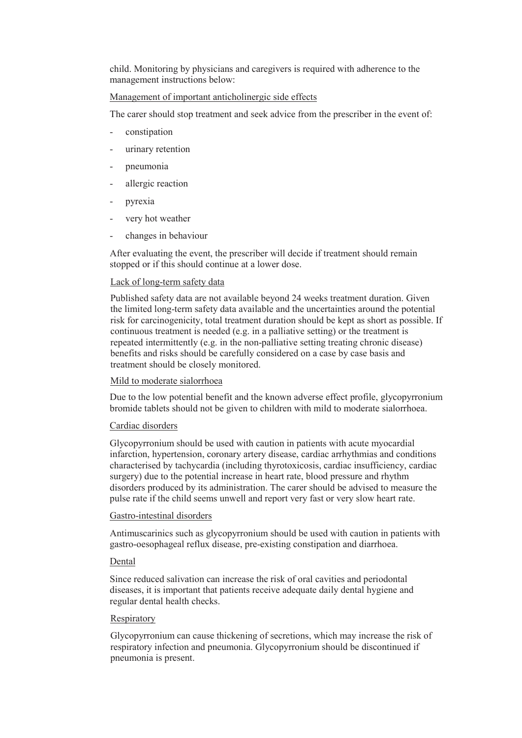child. Monitoring by physicians and caregivers is required with adherence to the management instructions below:

## Management of important anticholinergic side effects

The carer should stop treatment and seek advice from the prescriber in the event of:

- constipation
- urinary retention
- pneumonia
- allergic reaction
- pyrexia
- very hot weather
- changes in behaviour

After evaluating the event, the prescriber will decide if treatment should remain stopped or if this should continue at a lower dose.

## Lack of long-term safety data

Published safety data are not available beyond 24 weeks treatment duration. Given the limited long-term safety data available and the uncertainties around the potential risk for carcinogenicity, total treatment duration should be kept as short as possible. If continuous treatment is needed (e.g. in a palliative setting) or the treatment is repeated intermittently (e.g. in the non-palliative setting treating chronic disease) benefits and risks should be carefully considered on a case by case basis and treatment should be closely monitored.

### Mild to moderate sialorrhoea

Due to the low potential benefit and the known adverse effect profile, glycopyrronium bromide tablets should not be given to children with mild to moderate sialorrhoea.

### Cardiac disorders

Glycopyrronium should be used with caution in patients with acute myocardial infarction, hypertension, coronary artery disease, cardiac arrhythmias and conditions characterised by tachycardia (including thyrotoxicosis, cardiac insufficiency, cardiac surgery) due to the potential increase in heart rate, blood pressure and rhythm disorders produced by its administration. The carer should be advised to measure the pulse rate if the child seems unwell and report very fast or very slow heart rate.

### Gastro-intestinal disorders

Antimuscarinics such as glycopyrronium should be used with caution in patients with gastro-oesophageal reflux disease, pre-existing constipation and diarrhoea.

### **Dental**

Since reduced salivation can increase the risk of oral cavities and periodontal diseases, it is important that patients receive adequate daily dental hygiene and regular dental health checks.

### Respiratory

Glycopyrronium can cause thickening of secretions, which may increase the risk of respiratory infection and pneumonia. Glycopyrronium should be discontinued if pneumonia is present.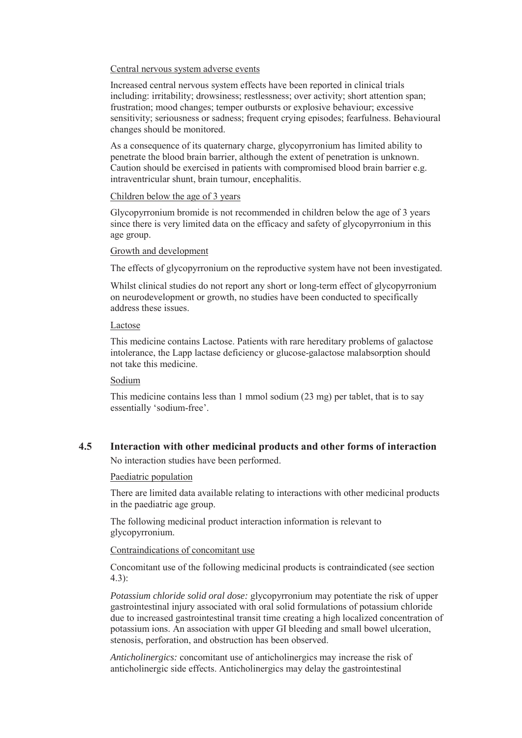#### Central nervous system adverse events

Increased central nervous system effects have been reported in clinical trials including: irritability; drowsiness; restlessness; over activity; short attention span; frustration; mood changes; temper outbursts or explosive behaviour; excessive sensitivity; seriousness or sadness; frequent crying episodes; fearfulness. Behavioural changes should be monitored.

As a consequence of its quaternary charge, glycopyrronium has limited ability to penetrate the blood brain barrier, although the extent of penetration is unknown. Caution should be exercised in patients with compromised blood brain barrier e.g. intraventricular shunt, brain tumour, encephalitis.

## Children below the age of 3 years

Glycopyrronium bromide is not recommended in children below the age of 3 years since there is very limited data on the efficacy and safety of glycopyrronium in this age group.

#### Growth and development

The effects of glycopyrronium on the reproductive system have not been investigated.

Whilst clinical studies do not report any short or long-term effect of glycopyrronium on neurodevelopment or growth, no studies have been conducted to specifically address these issues.

#### Lactose

This medicine contains Lactose. Patients with rare hereditary problems of galactose intolerance, the Lapp lactase deficiency or glucose-galactose malabsorption should not take this medicine.

### Sodium

This medicine contains less than 1 mmol sodium (23 mg) per tablet, that is to say essentially 'sodium-free'.

## **4.5 Interaction with other medicinal products and other forms of interaction**

No interaction studies have been performed.

#### Paediatric population

There are limited data available relating to interactions with other medicinal products in the paediatric age group.

The following medicinal product interaction information is relevant to glycopyrronium.

### Contraindications of concomitant use

Concomitant use of the following medicinal products is contraindicated (see section 4.3):

*Potassium chloride solid oral dose:* glycopyrronium may potentiate the risk of upper gastrointestinal injury associated with oral solid formulations of potassium chloride due to increased gastrointestinal transit time creating a high localized concentration of potassium ions. An association with upper GI bleeding and small bowel ulceration, stenosis, perforation, and obstruction has been observed.

*Anticholinergics:* concomitant use of anticholinergics may increase the risk of anticholinergic side effects. Anticholinergics may delay the gastrointestinal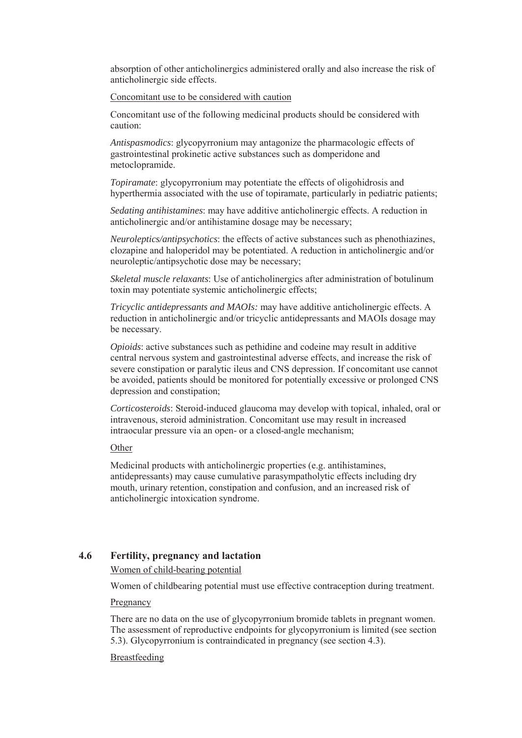absorption of other anticholinergics administered orally and also increase the risk of anticholinergic side effects.

Concomitant use to be considered with caution

Concomitant use of the following medicinal products should be considered with caution:

*Antispasmodics*: glycopyrronium may antagonize the pharmacologic effects of gastrointestinal prokinetic active substances such as domperidone and metoclopramide.

*Topiramate*: glycopyrronium may potentiate the effects of oligohidrosis and hyperthermia associated with the use of topiramate, particularly in pediatric patients;

*Sedating antihistamines*: may have additive anticholinergic effects. A reduction in anticholinergic and/or antihistamine dosage may be necessary;

*Neuroleptics/antipsychotics*: the effects of active substances such as phenothiazines, clozapine and haloperidol may be potentiated. A reduction in anticholinergic and/or neuroleptic/antipsychotic dose may be necessary;

*Skeletal muscle relaxants*: Use of anticholinergics after administration of botulinum toxin may potentiate systemic anticholinergic effects;

*Tricyclic antidepressants and MAOIs:* may have additive anticholinergic effects. A reduction in anticholinergic and/or tricyclic antidepressants and MAOIs dosage may be necessary.

*Opioids*: active substances such as pethidine and codeine may result in additive central nervous system and gastrointestinal adverse effects, and increase the risk of severe constipation or paralytic ileus and CNS depression. If concomitant use cannot be avoided, patients should be monitored for potentially excessive or prolonged CNS depression and constipation;

*Corticosteroids*: Steroid-induced glaucoma may develop with topical, inhaled, oral or intravenous, steroid administration. Concomitant use may result in increased intraocular pressure via an open- or a closed-angle mechanism;

**Other** 

Medicinal products with anticholinergic properties (e.g. antihistamines, antidepressants) may cause cumulative parasympatholytic effects including dry mouth, urinary retention, constipation and confusion, and an increased risk of anticholinergic intoxication syndrome.

### **4.6 Fertility, pregnancy and lactation**

Women of child-bearing potential

Women of childbearing potential must use effective contraception during treatment.

Pregnancy

There are no data on the use of glycopyrronium bromide tablets in pregnant women. The assessment of reproductive endpoints for glycopyrronium is limited (see section 5.3). Glycopyrronium is contraindicated in pregnancy (see section 4.3).

#### Breastfeeding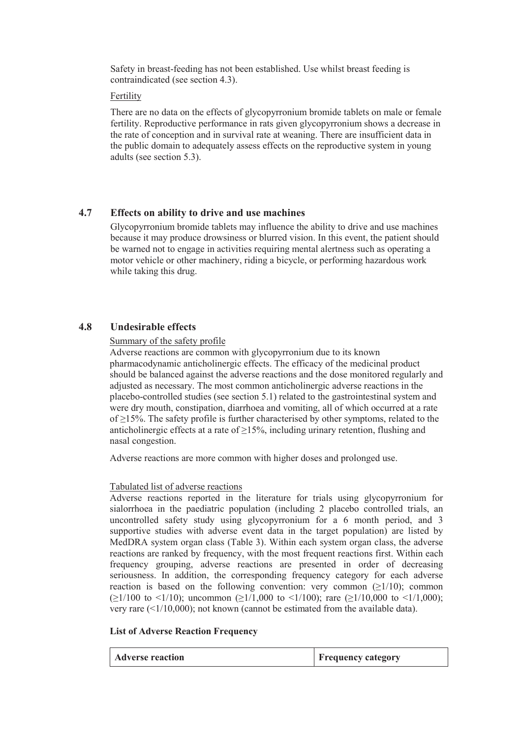Safety in breast-feeding has not been established. Use whilst breast feeding is contraindicated (see section 4.3).

#### Fertility

There are no data on the effects of glycopyrronium bromide tablets on male or female fertility. Reproductive performance in rats given glycopyrronium shows a decrease in the rate of conception and in survival rate at weaning. There are insufficient data in the public domain to adequately assess effects on the reproductive system in young adults (see section 5.3).

## **4.7 Effects on ability to drive and use machines**

Glycopyrronium bromide tablets may influence the ability to drive and use machines because it may produce drowsiness or blurred vision. In this event, the patient should be warned not to engage in activities requiring mental alertness such as operating a motor vehicle or other machinery, riding a bicycle, or performing hazardous work while taking this drug.

## **4.8 Undesirable effects**

#### Summary of the safety profile

Adverse reactions are common with glycopyrronium due to its known pharmacodynamic anticholinergic effects. The efficacy of the medicinal product should be balanced against the adverse reactions and the dose monitored regularly and adjusted as necessary. The most common anticholinergic adverse reactions in the placebo-controlled studies (see section 5.1) related to the gastrointestinal system and were dry mouth, constipation, diarrhoea and vomiting, all of which occurred at a rate of  $\geq$ 15%. The safety profile is further characterised by other symptoms, related to the anticholinergic effects at a rate of  $\geq$ 15%, including urinary retention, flushing and nasal congestion.

Adverse reactions are more common with higher doses and prolonged use.

#### Tabulated list of adverse reactions

Adverse reactions reported in the literature for trials using glycopyrronium for sialorrhoea in the paediatric population (including 2 placebo controlled trials, an uncontrolled safety study using glycopyrronium for a 6 month period, and 3 supportive studies with adverse event data in the target population) are listed by MedDRA system organ class (Table 3). Within each system organ class, the adverse reactions are ranked by frequency, with the most frequent reactions first. Within each frequency grouping, adverse reactions are presented in order of decreasing seriousness. In addition, the corresponding frequency category for each adverse reaction is based on the following convention: very common  $(\geq 1/10)$ ; common  $( \geq 1/100$  to  $\leq 1/10$ ); uncommon ( $\geq 1/1,000$  to  $\leq 1/100$ ); rare ( $\geq 1/10,000$  to  $\leq 1/1,000$ ); very rare (<1/10,000); not known (cannot be estimated from the available data).

#### **List of Adverse Reaction Frequency**

| <b>Adverse reaction</b> | <b>Frequency category</b> |
|-------------------------|---------------------------|
|-------------------------|---------------------------|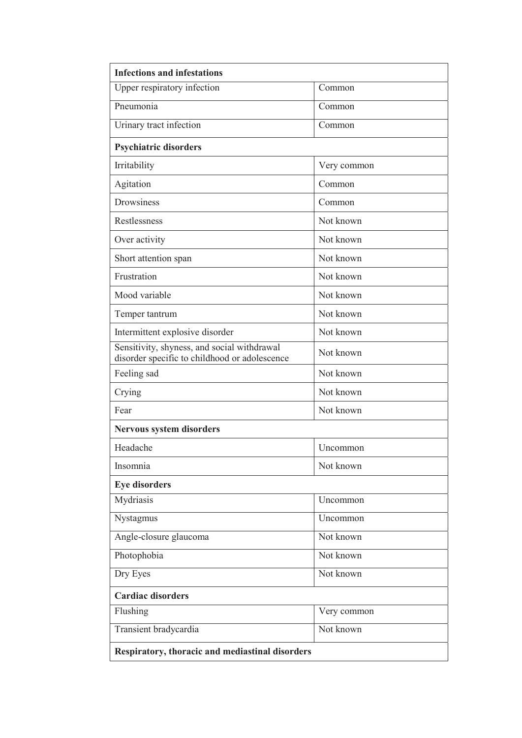| <b>Infections and infestations</b>                                                           |             |  |  |  |
|----------------------------------------------------------------------------------------------|-------------|--|--|--|
| Upper respiratory infection                                                                  | Common      |  |  |  |
| Pneumonia                                                                                    | Common      |  |  |  |
| Urinary tract infection                                                                      | Common      |  |  |  |
| <b>Psychiatric disorders</b>                                                                 |             |  |  |  |
| Irritability                                                                                 | Very common |  |  |  |
| Agitation                                                                                    | Common      |  |  |  |
| <b>Drowsiness</b>                                                                            | Common      |  |  |  |
| Restlessness                                                                                 | Not known   |  |  |  |
| Over activity                                                                                | Not known   |  |  |  |
| Short attention span                                                                         | Not known   |  |  |  |
| Frustration                                                                                  | Not known   |  |  |  |
| Mood variable                                                                                | Not known   |  |  |  |
| Temper tantrum                                                                               | Not known   |  |  |  |
| Intermittent explosive disorder                                                              | Not known   |  |  |  |
| Sensitivity, shyness, and social withdrawal<br>disorder specific to childhood or adolescence | Not known   |  |  |  |
| Feeling sad                                                                                  | Not known   |  |  |  |
| Crying                                                                                       | Not known   |  |  |  |
| Fear                                                                                         | Not known   |  |  |  |
| Nervous system disorders                                                                     |             |  |  |  |
| Headache                                                                                     | Uncommon    |  |  |  |
| Insomnia                                                                                     | Not known   |  |  |  |
| <b>Eye disorders</b>                                                                         |             |  |  |  |
| Mydriasis                                                                                    | Uncommon    |  |  |  |
| Nystagmus                                                                                    | Uncommon    |  |  |  |
| Angle-closure glaucoma                                                                       | Not known   |  |  |  |
| Photophobia                                                                                  | Not known   |  |  |  |
| Dry Eyes                                                                                     | Not known   |  |  |  |
| <b>Cardiac disorders</b>                                                                     |             |  |  |  |
| Flushing                                                                                     | Very common |  |  |  |
| Transient bradycardia                                                                        | Not known   |  |  |  |
| Respiratory, thoracic and mediastinal disorders                                              |             |  |  |  |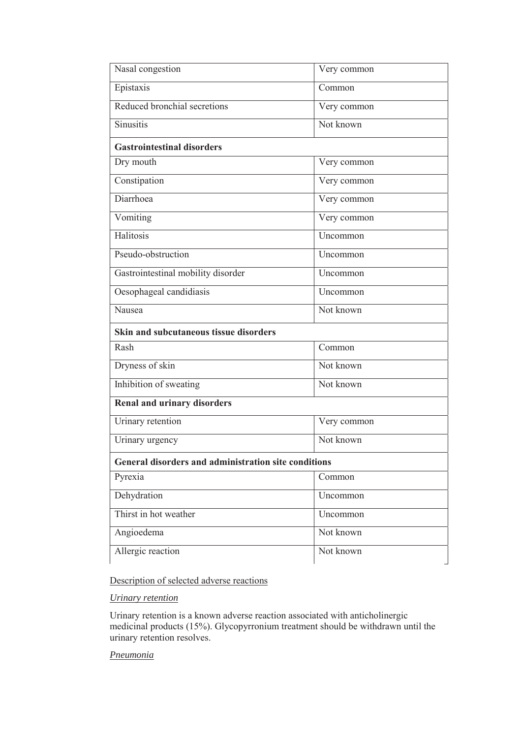| Nasal congestion                                     | Very common |  |  |  |
|------------------------------------------------------|-------------|--|--|--|
| Epistaxis                                            | Common      |  |  |  |
| Reduced bronchial secretions                         | Very common |  |  |  |
| <b>Sinusitis</b>                                     | Not known   |  |  |  |
| <b>Gastrointestinal disorders</b>                    |             |  |  |  |
| Dry mouth                                            | Very common |  |  |  |
| Constipation                                         | Very common |  |  |  |
| Diarrhoea                                            | Very common |  |  |  |
| Vomiting                                             | Very common |  |  |  |
| Halitosis                                            | Uncommon    |  |  |  |
| Pseudo-obstruction                                   | Uncommon    |  |  |  |
| Gastrointestinal mobility disorder                   | Uncommon    |  |  |  |
| Oesophageal candidiasis                              | Uncommon    |  |  |  |
| Nausea                                               | Not known   |  |  |  |
| <b>Skin and subcutaneous tissue disorders</b>        |             |  |  |  |
| Rash                                                 | Common      |  |  |  |
| Dryness of skin                                      | Not known   |  |  |  |
| Inhibition of sweating                               | Not known   |  |  |  |
| Renal and urinary disorders                          |             |  |  |  |
| Urinary retention                                    | Very common |  |  |  |
| Urinary urgency                                      | Not known   |  |  |  |
| General disorders and administration site conditions |             |  |  |  |
| Pyrexia                                              | Common      |  |  |  |
| Dehydration                                          | Uncommon    |  |  |  |
| Thirst in hot weather                                | Uncommon    |  |  |  |
| Angioedema                                           | Not known   |  |  |  |
| Allergic reaction                                    | Not known   |  |  |  |

## Description of selected adverse reactions

## *Urinary retention*

Urinary retention is a known adverse reaction associated with anticholinergic medicinal products (15%). Glycopyrronium treatment should be withdrawn until the urinary retention resolves.

## *Pneumonia*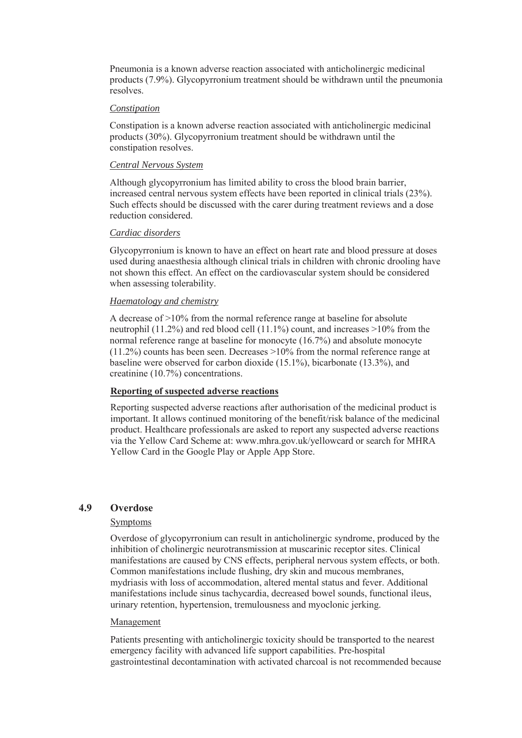Pneumonia is a known adverse reaction associated with anticholinergic medicinal products (7.9%). Glycopyrronium treatment should be withdrawn until the pneumonia resolves.

#### *Constipation*

Constipation is a known adverse reaction associated with anticholinergic medicinal products (30%). Glycopyrronium treatment should be withdrawn until the constipation resolves.

#### *Central Nervous System*

Although glycopyrronium has limited ability to cross the blood brain barrier, increased central nervous system effects have been reported in clinical trials (23%). Such effects should be discussed with the carer during treatment reviews and a dose reduction considered.

#### *Cardiac disorders*

Glycopyrronium is known to have an effect on heart rate and blood pressure at doses used during anaesthesia although clinical trials in children with chronic drooling have not shown this effect. An effect on the cardiovascular system should be considered when assessing tolerability.

#### *Haematology and chemistry*

A decrease of >10% from the normal reference range at baseline for absolute neutrophil (11.2%) and red blood cell (11.1%) count, and increases >10% from the normal reference range at baseline for monocyte (16.7%) and absolute monocyte  $(11.2\%)$  counts has been seen. Decreases  $>10\%$  from the normal reference range at baseline were observed for carbon dioxide (15.1%), bicarbonate (13.3%), and creatinine (10.7%) concentrations.

### **Reporting of suspected adverse reactions**

Reporting suspected adverse reactions after authorisation of the medicinal product is important. It allows continued monitoring of the benefit/risk balance of the medicinal product. Healthcare professionals are asked to report any suspected adverse reactions via the Yellow Card Scheme at: www.mhra.gov.uk/yellowcard or search for MHRA Yellow Card in the Google Play or Apple App Store.

## **4.9 Overdose**

### **Symptoms**

Overdose of glycopyrronium can result in anticholinergic syndrome, produced by the inhibition of cholinergic neurotransmission at muscarinic receptor sites. Clinical manifestations are caused by CNS effects, peripheral nervous system effects, or both. Common manifestations include flushing, dry skin and mucous membranes, mydriasis with loss of accommodation, altered mental status and fever. Additional manifestations include sinus tachycardia, decreased bowel sounds, functional ileus, urinary retention, hypertension, tremulousness and myoclonic jerking.

#### Management

Patients presenting with anticholinergic toxicity should be transported to the nearest emergency facility with advanced life support capabilities. Pre-hospital gastrointestinal decontamination with activated charcoal is not recommended because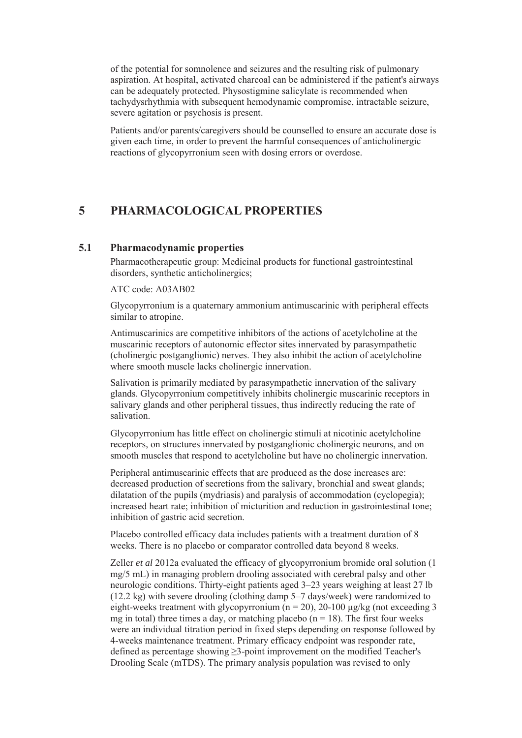of the potential for somnolence and seizures and the resulting risk of pulmonary aspiration. At hospital, activated charcoal can be administered if the patient's airways can be adequately protected. Physostigmine salicylate is recommended when tachydysrhythmia with subsequent hemodynamic compromise, intractable seizure, severe agitation or psychosis is present.

Patients and/or parents/caregivers should be counselled to ensure an accurate dose is given each time, in order to prevent the harmful consequences of anticholinergic reactions of glycopyrronium seen with dosing errors or overdose.

## **5 PHARMACOLOGICAL PROPERTIES**

#### **5.1 Pharmacodynamic properties**

Pharmacotherapeutic group: Medicinal products for functional gastrointestinal disorders, synthetic anticholinergics;

#### ATC code: A03AB02

Glycopyrronium is a quaternary ammonium antimuscarinic with peripheral effects similar to atropine.

Antimuscarinics are competitive inhibitors of the actions of acetylcholine at the muscarinic receptors of autonomic effector sites innervated by parasympathetic (cholinergic postganglionic) nerves. They also inhibit the action of acetylcholine where smooth muscle lacks cholinergic innervation.

Salivation is primarily mediated by parasympathetic innervation of the salivary glands. Glycopyrronium competitively inhibits cholinergic muscarinic receptors in salivary glands and other peripheral tissues, thus indirectly reducing the rate of salivation.

Glycopyrronium has little effect on cholinergic stimuli at nicotinic acetylcholine receptors, on structures innervated by postganglionic cholinergic neurons, and on smooth muscles that respond to acetylcholine but have no cholinergic innervation.

Peripheral antimuscarinic effects that are produced as the dose increases are: decreased production of secretions from the salivary, bronchial and sweat glands; dilatation of the pupils (mydriasis) and paralysis of accommodation (cyclopegia); increased heart rate; inhibition of micturition and reduction in gastrointestinal tone; inhibition of gastric acid secretion.

Placebo controlled efficacy data includes patients with a treatment duration of 8 weeks. There is no placebo or comparator controlled data beyond 8 weeks.

Zeller *et al* 2012a evaluated the efficacy of glycopyrronium bromide oral solution (1 mg/5 mL) in managing problem drooling associated with cerebral palsy and other neurologic conditions. Thirty-eight patients aged 3–23 years weighing at least 27 lb (12.2 kg) with severe drooling (clothing damp 5–7 days/week) were randomized to eight-weeks treatment with glycopyrronium ( $n = 20$ ), 20-100  $\mu$ g/kg (not exceeding 3 mg in total) three times a day, or matching placebo ( $n = 18$ ). The first four weeks were an individual titration period in fixed steps depending on response followed by 4-weeks maintenance treatment. Primary efficacy endpoint was responder rate, defined as percentage showing  $\geq$ 3-point improvement on the modified Teacher's Drooling Scale (mTDS). The primary analysis population was revised to only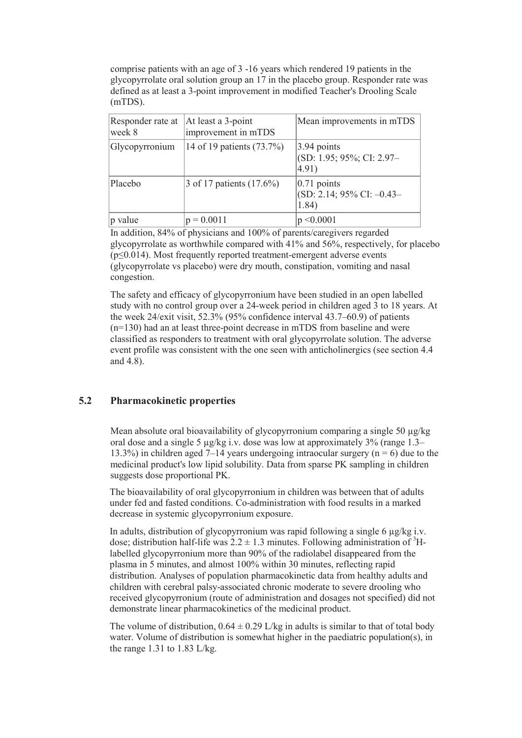comprise patients with an age of 3 -16 years which rendered 19 patients in the glycopyrrolate oral solution group an 17 in the placebo group. Responder rate was defined as at least a 3-point improvement in modified Teacher's Drooling Scale (mTDS).

| Responder rate at<br>week 8 | At least a 3-point<br>improvement in mTDS | Mean improvements in mTDS                                         |
|-----------------------------|-------------------------------------------|-------------------------------------------------------------------|
| Glycopyrronium              | 14 of 19 patients (73.7%)                 | $ 3.94$ points<br>$ $ (SD: 1.95; 95%; CI: 2.97-<br>$ 4.91\rangle$ |
| Placebo                     | 3 of 17 patients (17.6%)                  | $ 0.71$ points<br>$(SD: 2.14; 95\% CI: -0.43-$<br>1.84)           |
| $ p$ value                  | $p = 0.0011$                              | < 0.0001                                                          |

In addition, 84% of physicians and 100% of parents/caregivers regarded glycopyrrolate as worthwhile compared with 41% and 56%, respectively, for placebo  $(p\leq 0.014)$ . Most frequently reported treatment-emergent adverse events (glycopyrrolate vs placebo) were dry mouth, constipation, vomiting and nasal congestion.

The safety and efficacy of glycopyrronium have been studied in an open labelled study with no control group over a 24-week period in children aged 3 to 18 years. At the week 24/exit visit, 52.3% (95% confidence interval 43.7–60.9) of patients (n=130) had an at least three-point decrease in mTDS from baseline and were classified as responders to treatment with oral glycopyrrolate solution. The adverse event profile was consistent with the one seen with anticholinergics (see section 4.4 and 4.8).

## **5.2 Pharmacokinetic properties**

Mean absolute oral bioavailability of glycopyrronium comparing a single 50 μg/kg oral dose and a single 5 μg/kg i.v. dose was low at approximately 3% (range 1.3– 13.3%) in children aged 7–14 years undergoing intraocular surgery ( $n = 6$ ) due to the medicinal product's low lipid solubility. Data from sparse PK sampling in children suggests dose proportional PK.

The bioavailability of oral glycopyrronium in children was between that of adults under fed and fasted conditions. Co-administration with food results in a marked decrease in systemic glycopyrronium exposure.

In adults, distribution of glycopyrronium was rapid following a single 6 μg/kg i.v. dose; distribution half-life was  $2.2 \pm 1.3$  minutes. Following administration of <sup>3</sup>Hlabelled glycopyrronium more than 90% of the radiolabel disappeared from the plasma in 5 minutes, and almost 100% within 30 minutes, reflecting rapid distribution. Analyses of population pharmacokinetic data from healthy adults and children with cerebral palsy-associated chronic moderate to severe drooling who received glycopyrronium (route of administration and dosages not specified) did not demonstrate linear pharmacokinetics of the medicinal product.

The volume of distribution,  $0.64 \pm 0.29$  L/kg in adults is similar to that of total body water. Volume of distribution is somewhat higher in the paediatric population(s), in the range 1.31 to 1.83 L/kg.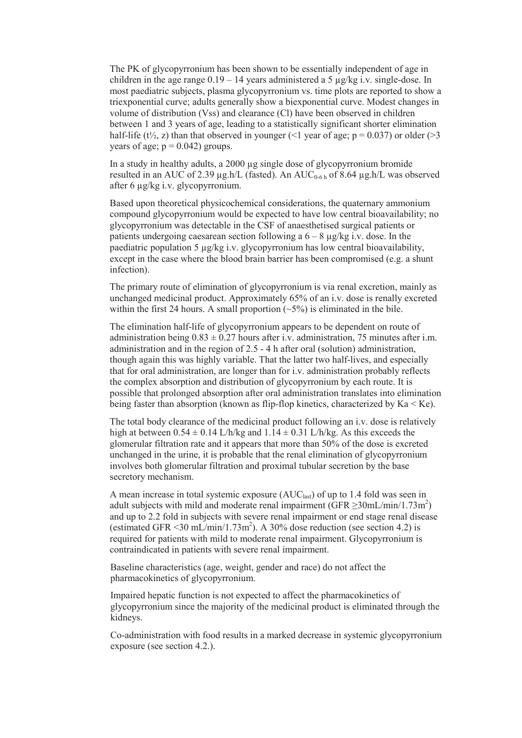The PK of glycopyrronium has been shown to be essentially independent of age in children in the age range  $0.19 - 14$  years administered a 5  $\mu$ g/kg i.v. single-dose. In most paediatric subjects, plasma glycopyrronium vs. time plots are reported to show a triexponential curve; adults generally show a biexponential curve. Modest changes in volume of distribution (Vss) and clearance (Cl) have been observed in children between 1 and 3 years of age, leading to a statistically significant shorter elimination half-life (t<sup>1</sup>/<sub>2</sub>, z) than that observed in younger (<1 year of age;  $p = 0.037$ ) or older (>3 years of age;  $p = 0.042$ ) groups.

In a study in healthy adults, a 2000 μg single dose of glycopyrronium bromide resulted in an AUC of 2.39 μg.h/L (fasted). An AUC<sub>0-6 h</sub> of 8.64 μg.h/L was observed after 6 μg/kg i.v. glycopyrronium.

Based upon theoretical physicochemical considerations, the quaternary ammonium compound glycopyrronium would be expected to have low central bioavailability; no glycopyrronium was detectable in the CSF of anaesthetised surgical patients or patients undergoing caesarean section following a  $6 - 8 \mu$ g/kg i.v. dose. In the paediatric population 5 μg/kg i.v. glycopyrronium has low central bioavailability, except in the case where the blood brain barrier has been compromised (e.g. a shunt infection).

The primary route of elimination of glycopyrronium is via renal excretion, mainly as unchanged medicinal product. Approximately 65% of an i.v. dose is renally excreted within the first 24 hours. A small proportion  $(-5\%)$  is eliminated in the bile.

The elimination half-life of glycopyrronium appears to be dependent on route of administration being  $0.83 \pm 0.27$  hours after i.v. administration, 75 minutes after i.m. administration and in the region of 2.5 - 4 h after oral (solution) administration, though again this was highly variable. That the latter two half-lives, and especially that for oral administration, are longer than for i.v. administration probably reflects the complex absorption and distribution of glycopyrronium by each route. It is possible that prolonged absorption after oral administration translates into elimination being faster than absorption (known as flip-flop kinetics, characterized by  $Ka < Ke$ ).

The total body clearance of the medicinal product following an i.v. dose is relatively high at between  $0.54 \pm 0.14$  L/h/kg and  $1.14 \pm 0.31$  L/h/kg. As this exceeds the glomerular filtration rate and it appears that more than 50% of the dose is excreted unchanged in the urine, it is probable that the renal elimination of glycopyrronium involves both glomerular filtration and proximal tubular secretion by the base secretory mechanism.

A mean increase in total systemic exposure  $(AUC<sub>last</sub>)$  of up to 1.4 fold was seen in adult subjects with mild and moderate renal impairment (GFR  $\geq$ 30mL/min/1.73m<sup>2</sup>) and up to 2.2 fold in subjects with severe renal impairment or end stage renal disease (estimated GFR <30 mL/min/1.73m<sup>2</sup>). A 30% dose reduction (see section 4.2) is required for patients with mild to moderate renal impairment. Glycopyrronium is contraindicated in patients with severe renal impairment.

Baseline characteristics (age, weight, gender and race) do not affect the pharmacokinetics of glycopyrronium.

Impaired hepatic function is not expected to affect the pharmacokinetics of glycopyrronium since the majority of the medicinal product is eliminated through the kidneys.

Co-administration with food results in a marked decrease in systemic glycopyrronium exposure (see section 4.2.).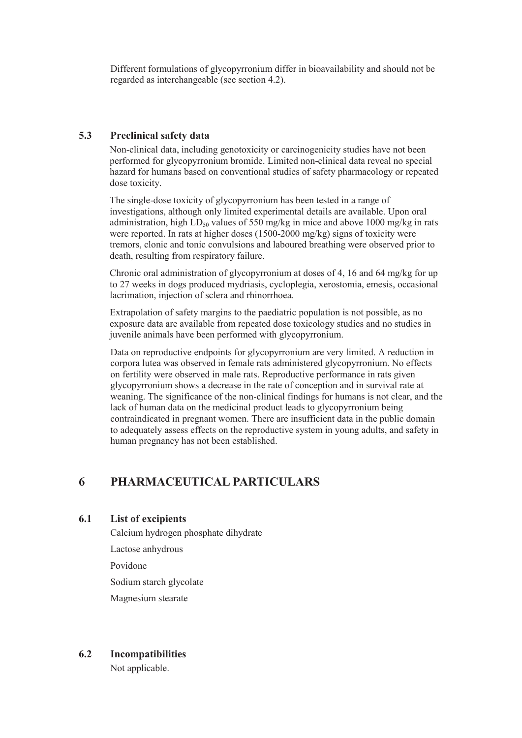Different formulations of glycopyrronium differ in bioavailability and should not be regarded as interchangeable (see section 4.2).

## **5.3 Preclinical safety data**

Non-clinical data, including genotoxicity or carcinogenicity studies have not been performed for glycopyrronium bromide. Limited non-clinical data reveal no special hazard for humans based on conventional studies of safety pharmacology or repeated dose toxicity.

The single-dose toxicity of glycopyrronium has been tested in a range of investigations, although only limited experimental details are available. Upon oral administration, high  $LD_{50}$  values of 550 mg/kg in mice and above 1000 mg/kg in rats were reported. In rats at higher doses (1500-2000 mg/kg) signs of toxicity were tremors, clonic and tonic convulsions and laboured breathing were observed prior to death, resulting from respiratory failure.

Chronic oral administration of glycopyrronium at doses of 4, 16 and 64 mg/kg for up to 27 weeks in dogs produced mydriasis, cycloplegia, xerostomia, emesis, occasional lacrimation, injection of sclera and rhinorrhoea.

Extrapolation of safety margins to the paediatric population is not possible, as no exposure data are available from repeated dose toxicology studies and no studies in juvenile animals have been performed with glycopyrronium.

Data on reproductive endpoints for glycopyrronium are very limited. A reduction in corpora lutea was observed in female rats administered glycopyrronium. No effects on fertility were observed in male rats. Reproductive performance in rats given glycopyrronium shows a decrease in the rate of conception and in survival rate at weaning. The significance of the non-clinical findings for humans is not clear, and the lack of human data on the medicinal product leads to glycopyrronium being contraindicated in pregnant women. There are insufficient data in the public domain to adequately assess effects on the reproductive system in young adults, and safety in human pregnancy has not been established.

# **6 PHARMACEUTICAL PARTICULARS**

## **6.1 List of excipients**

Calcium hydrogen phosphate dihydrate

Lactose anhydrous

Povidone

Sodium starch glycolate

Magnesium stearate

## **6.2 Incompatibilities**

Not applicable.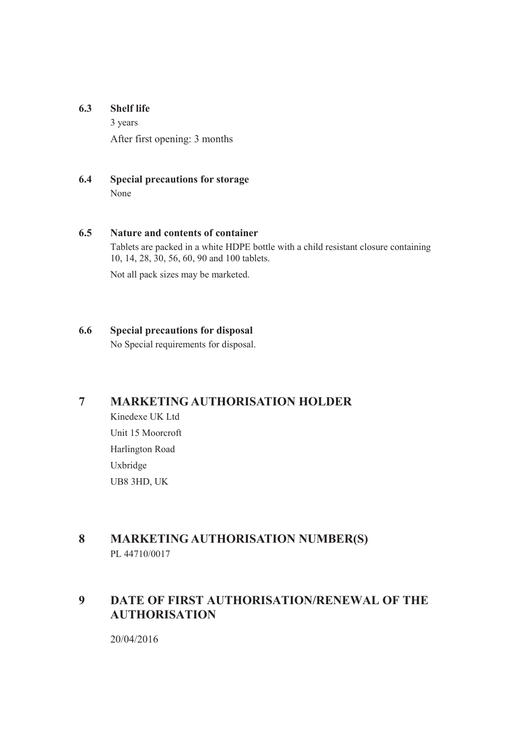## **6.3 Shelf life**

3 years After first opening: 3 months

## **6.4 Special precautions for storage** None

## **6.5 Nature and contents of container**

Tablets are packed in a white HDPE bottle with a child resistant closure containing 10, 14, 28, 30, 56, 60, 90 and 100 tablets.

Not all pack sizes may be marketed.

## **6.6 Special precautions for disposal**

No Special requirements for disposal.

# **7 MARKETING AUTHORISATION HOLDER**

Kinedexe UK Ltd Unit 15 Moorcroft Harlington Road Uxbridge UB8 3HD, UK

# **8 MARKETING AUTHORISATION NUMBER(S)** PL 44710/0017

# **9 DATE OF FIRST AUTHORISATION/RENEWAL OF THE AUTHORISATION**

20/04/2016